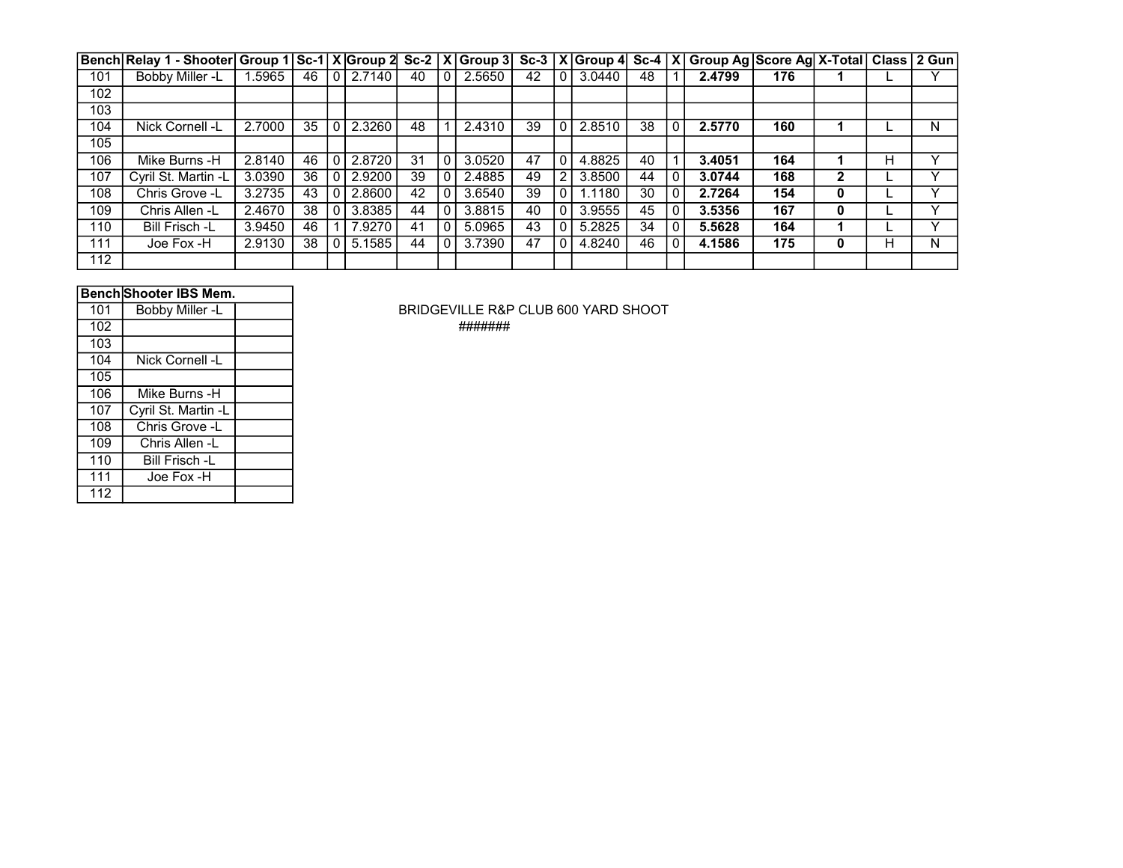|     | Bench Relay 1 - Shooter Group 1 Sc-1 X Group 2 Sc-2   X Group 3 Sc-3   X Group 4 Sc-4   X Group Ag Score Ag X-Total   Class   2 Gun |        |    |                |              |    |              |        |    |          |        |    |              |        |     |   |   |              |
|-----|-------------------------------------------------------------------------------------------------------------------------------------|--------|----|----------------|--------------|----|--------------|--------|----|----------|--------|----|--------------|--------|-----|---|---|--------------|
| 101 | Bobby Miller -L                                                                                                                     | 1.5965 | 46 |                | $0$   2.7140 | 40 |              | 2.5650 | 42 | $\Omega$ | 3.0440 | 48 |              | 2.4799 | 176 |   |   |              |
| 102 |                                                                                                                                     |        |    |                |              |    |              |        |    |          |        |    |              |        |     |   |   |              |
| 103 |                                                                                                                                     |        |    |                |              |    |              |        |    |          |        |    |              |        |     |   |   |              |
| 104 | Nick Cornell -L                                                                                                                     | 2.7000 | 35 | 0 <sup>1</sup> | 2.3260       | 48 |              | 2.4310 | 39 | 0        | 2.8510 | 38 | 0            | 2.5770 | 160 |   |   | N            |
| 105 |                                                                                                                                     |        |    |                |              |    |              |        |    |          |        |    |              |        |     |   |   |              |
| 106 | Mike Burns -H                                                                                                                       | 2.8140 | 46 | 0 <sup>1</sup> | 2.8720       | 31 | $\mathbf{0}$ | 3.0520 | 47 | $\Omega$ | 4.8825 | 40 |              | 3.4051 | 164 |   | н | v            |
| 107 | Cyril St. Martin -L                                                                                                                 | 3.0390 | 36 |                | 012.9200     | 39 |              | 2.4885 | 49 | 2        | 3.8500 | 44 | 0            | 3.0744 | 168 | 2 |   |              |
| 108 | Chris Grove -L                                                                                                                      | 3.2735 | 43 |                | 012.8600     | 42 |              | 3.6540 | 39 | 0        | 1.1180 | 30 | 0            | 2.7264 | 154 | 0 |   |              |
| 109 | Chris Allen -L                                                                                                                      | 2.4670 | 38 |                | 0 3.8385     | 44 |              | 3.8815 | 40 | 0        | 3.9555 | 45 |              | 3.5356 | 167 | 0 |   |              |
| 110 | <b>Bill Frisch -L</b>                                                                                                               | 3.9450 | 46 |                | 7.9270       | 41 |              | 5.0965 | 43 | 0        | 5.2825 | 34 | 0            | 5.5628 | 164 |   |   | $\checkmark$ |
| 111 | Joe Fox -H                                                                                                                          | 2.9130 | 38 |                | 0   5.1585   | 44 |              | 3.7390 | 47 | 0        | 4.8240 | 46 | $\mathbf{0}$ | 4.1586 | 175 | 0 | н | N            |
| 112 |                                                                                                                                     |        |    |                |              |    |              |        |    |          |        |    |              |        |     |   |   |              |

| <b>Bench Shooter IBS Mem.</b> |  |
|-------------------------------|--|
|                               |  |

| 101 | Bobby Miller -L     |  |
|-----|---------------------|--|
| 102 |                     |  |
| 103 |                     |  |
| 104 | Nick Cornell -L     |  |
| 105 |                     |  |
| 106 | Mike Burns -H       |  |
| 107 | Cyril St. Martin -L |  |
| 108 | Chris Grove -L      |  |
| 109 | Chris Allen -L      |  |
| 110 | Bill Frisch -L      |  |
| 111 | Joe Fox -H          |  |
| 112 |                     |  |

BRIDGEVILLE R&P CLUB 600 YARD SHOOT #######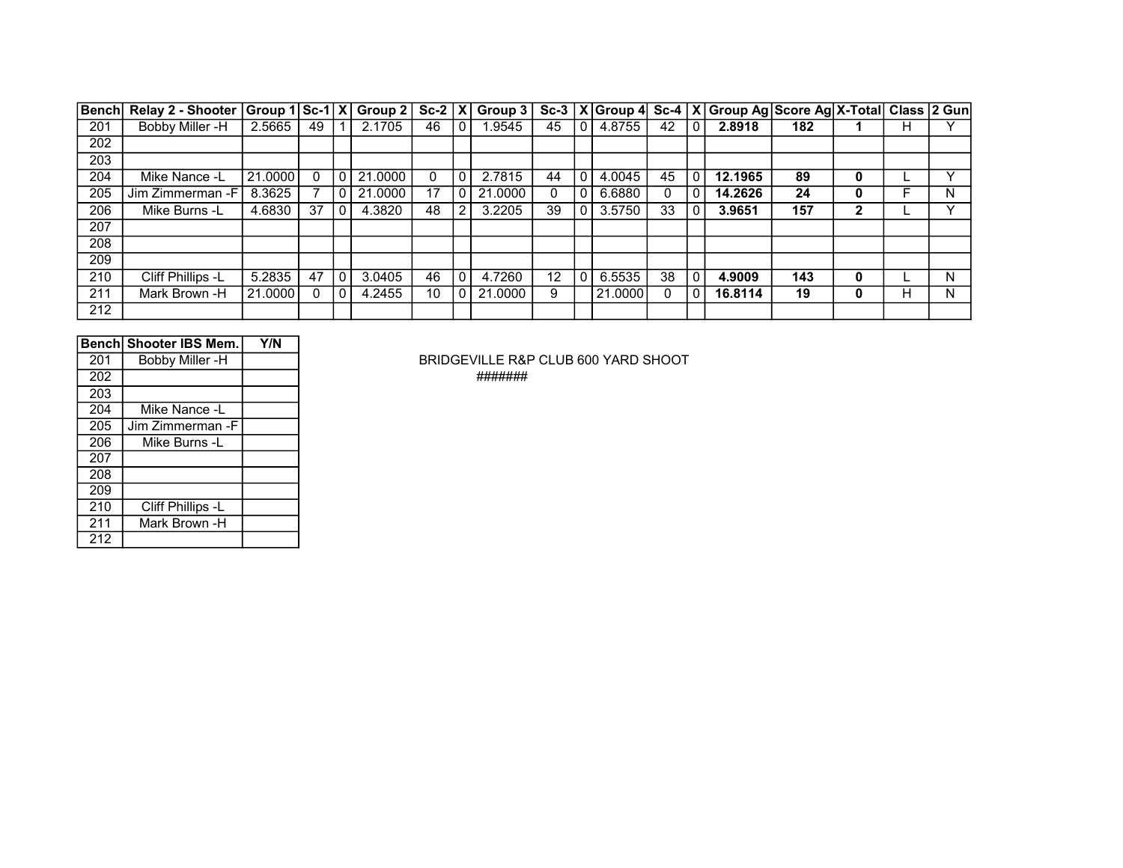| <b>Bench</b> | Relay 2 - Shooter   Group 1   Sc-1   X   Group 2 |         |    |              |         | $Sc-2 X $ |                | Group $3$ |    |              |         |    |   | Sc-3   X   Group 4   Sc-4   X   Group Ag   Score Ag   X-Total   Class   2 Gun |     |   |   |   |
|--------------|--------------------------------------------------|---------|----|--------------|---------|-----------|----------------|-----------|----|--------------|---------|----|---|-------------------------------------------------------------------------------|-----|---|---|---|
| 201          | Bobby Miller -H                                  | 2.5665  | 49 |              | 2.1705  | 46        | $\mathbf 0$    | .9545     | 45 | $\mathbf 0$  | 4.8755  | 42 |   | 2.8918                                                                        | 182 |   | н |   |
| 202          |                                                  |         |    |              |         |           |                |           |    |              |         |    |   |                                                                               |     |   |   |   |
| 203          |                                                  |         |    |              |         |           |                |           |    |              |         |    |   |                                                                               |     |   |   |   |
| 204          | Mike Nance -L                                    | 21,0000 | 0  | $\Omega$     | 21.0000 |           | 0              | 2.7815    | 44 | $\mathbf 0$  | 4.0045  | 45 | 0 | 12.1965                                                                       | 89  | 0 |   |   |
| 205          | Jim Zimmerman -F                                 | 8.3625  |    | $\Omega$     | 21.0000 | 17        | $\overline{0}$ | 21.0000   |    | $\mathbf 0$  | 6.6880  |    | 0 | 14.2626                                                                       | 24  | 0 |   | N |
| 206          | Mike Burns -L                                    | 4.6830  | 37 | $\mathbf{0}$ | 4.3820  | 48        | 2 <sub>1</sub> | 3.2205    | 39 | $\mathbf{0}$ | 3.5750  | 33 |   | 3.9651                                                                        | 157 | 2 |   | v |
| 207          |                                                  |         |    |              |         |           |                |           |    |              |         |    |   |                                                                               |     |   |   |   |
| 208          |                                                  |         |    |              |         |           |                |           |    |              |         |    |   |                                                                               |     |   |   |   |
| 209          |                                                  |         |    |              |         |           |                |           |    |              |         |    |   |                                                                               |     |   |   |   |
| 210          | Cliff Phillips -L                                | 5.2835  | 47 | $\Omega$     | 3.0405  | 46        | $\mathbf{0}$   | 4.7260    | 12 | $\mathbf{0}$ | 6.5535  | 38 |   | 4.9009                                                                        | 143 | 0 |   | N |
| 211          | Mark Brown -H                                    | 21,0000 | 0  | 0            | 4.2455  | 10        | $\overline{0}$ | 21.0000   | 9  |              | 21,0000 | 0  | 0 | 16.8114                                                                       | 19  | 0 | н | N |
| 212          |                                                  |         |    |              |         |           |                |           |    |              |         |    |   |                                                                               |     |   |   |   |

|     | Benchl Shooter IBS Mem. | Y/N |
|-----|-------------------------|-----|
| 201 | Bobby Miller -H         |     |
| 202 |                         |     |
| 203 |                         |     |
| 204 | Mike Nance -L           |     |
| 205 | Jim Zimmerman -F        |     |
| 206 | Mike Burns -L           |     |
| 207 |                         |     |
| 208 |                         |     |
| 209 |                         |     |
| 210 | Cliff Phillips -L       |     |
| 211 | Mark Brown -H           |     |
| 212 |                         |     |

BRIDGEVILLE R&P CLUB 600 YARD SHOOT

#######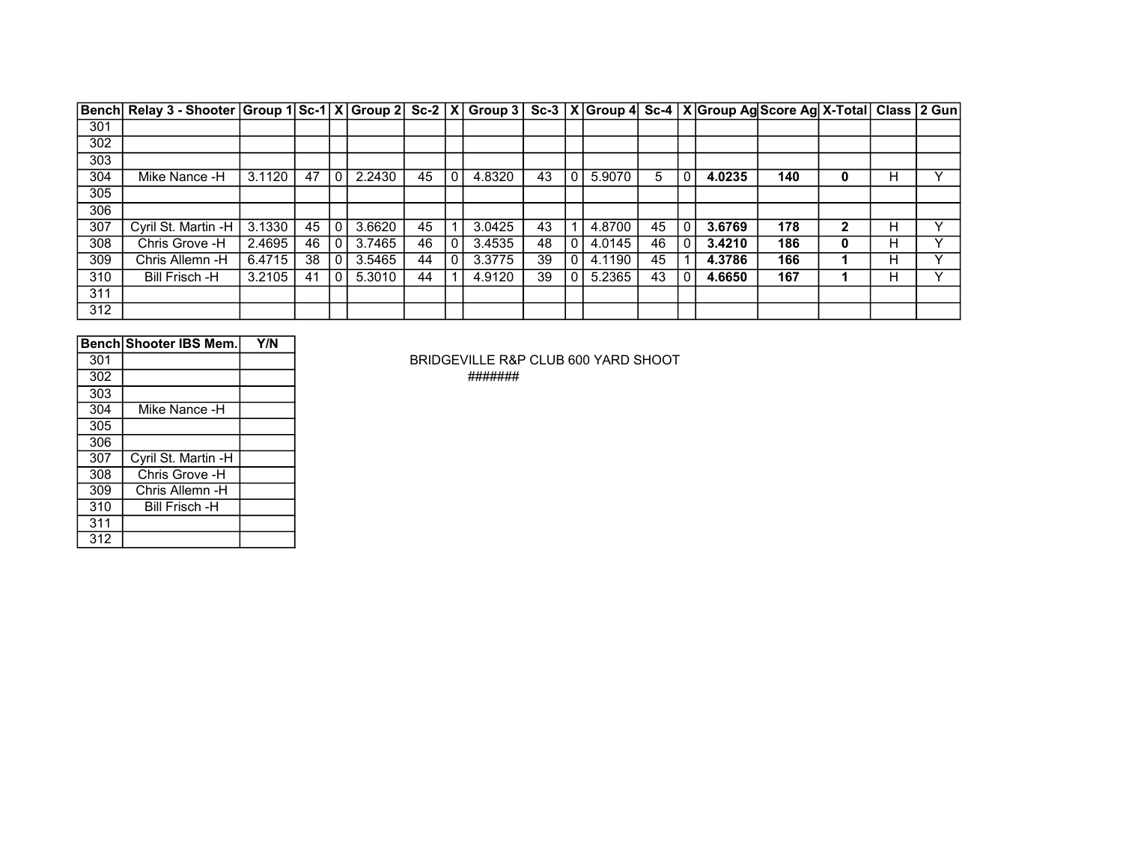|     | Bench Relay 3 - Shooter Group 1 Sc-1 X Group 2 Sc-2 X Group 3 Sc-3 X Group 4 Sc-4 X Group Ag Score Ag X-Total Class 2 Gun |        |    |              |        |    |        |    |                |        |    |        |     |   |   |   |
|-----|---------------------------------------------------------------------------------------------------------------------------|--------|----|--------------|--------|----|--------|----|----------------|--------|----|--------|-----|---|---|---|
| 301 |                                                                                                                           |        |    |              |        |    |        |    |                |        |    |        |     |   |   |   |
| 302 |                                                                                                                           |        |    |              |        |    |        |    |                |        |    |        |     |   |   |   |
| 303 |                                                                                                                           |        |    |              |        |    |        |    |                |        |    |        |     |   |   |   |
| 304 | Mike Nance -H                                                                                                             | 3.1120 | 47 | $\Omega$     | 2.2430 | 45 | 4.8320 | 43 | $\Omega$       | 5.9070 | 5  | 4.0235 | 140 | 0 | н |   |
| 305 |                                                                                                                           |        |    |              |        |    |        |    |                |        |    |        |     |   |   |   |
| 306 |                                                                                                                           |        |    |              |        |    |        |    |                |        |    |        |     |   |   |   |
| 307 | Cyril St. Martin -H                                                                                                       | 3.1330 | 45 | $\mathbf{0}$ | 3.6620 | 45 | 3.0425 | 43 |                | 4.8700 | 45 | 3.6769 | 178 | າ | н | v |
| 308 | Chris Grove -H                                                                                                            | 2.4695 | 46 | 0            | 3.7465 | 46 | 3.4535 | 48 | $\Omega$       | 4.0145 | 46 | 3.4210 | 186 | 0 | н |   |
| 309 | Chris Allemn -H                                                                                                           | 6.4715 | 38 | 0            | 3.5465 | 44 | 3.3775 | 39 | $\overline{0}$ | 4.1190 | 45 | 4.3786 | 166 |   | н |   |
| 310 | Bill Frisch -H                                                                                                            | 3.2105 | 41 | $\Omega$     | 5.3010 | 44 | 4.9120 | 39 | 0 I            | 5.2365 | 43 | 4.6650 | 167 |   | н |   |
| 311 |                                                                                                                           |        |    |              |        |    |        |    |                |        |    |        |     |   |   |   |
| 312 |                                                                                                                           |        |    |              |        |    |        |    |                |        |    |        |     |   |   |   |

|     | <b>Bench Shooter IBS Mem.</b> | Y/N |
|-----|-------------------------------|-----|
| 301 |                               |     |
| 302 |                               |     |
| 303 |                               |     |
| 304 | Mike Nance -H                 |     |
| 305 |                               |     |
| 306 |                               |     |
| 307 | Cyril St. Martin -H           |     |
| 308 | Chris Grove -H                |     |
| 309 | Chris Allemn -H               |     |
| 310 | <b>Bill Frisch -H</b>         |     |
| 311 |                               |     |
| 312 |                               |     |

BRIDGEVILLE R&P CLUB 600 YARD SHOOT #######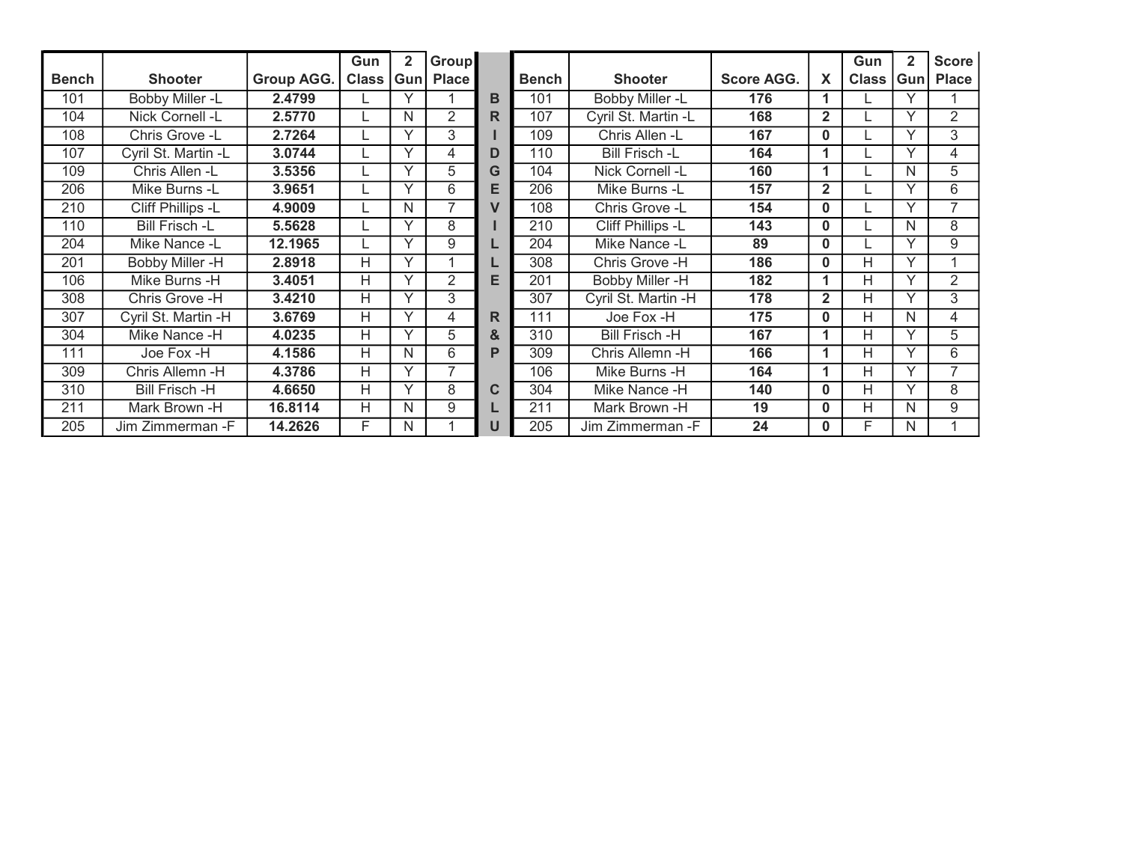|              |                       |                   | Gun   | $\overline{\mathbf{2}}$ | Group          |                         |              |                          |                   |                | Gun          | 2            | <b>Score</b>   |
|--------------|-----------------------|-------------------|-------|-------------------------|----------------|-------------------------|--------------|--------------------------|-------------------|----------------|--------------|--------------|----------------|
| <b>Bench</b> | <b>Shooter</b>        | <b>Group AGG.</b> | Class | Gun                     | <b>Place</b>   |                         | <b>Bench</b> | <b>Shooter</b>           | <b>Score AGG.</b> | X              | <b>Class</b> | Gun          | <b>Place</b>   |
| 101          | Bobby Miller -L       | 2.4799            |       | Υ                       |                | в                       | 101          | Bobby Miller -L          | 176               | 1              |              |              |                |
| 104          | Nick Cornell -L       | 2.5770            |       | N                       | 2              | R                       | 107          | Cyril St. Martin -L      | 168               | $\overline{2}$ |              | $\checkmark$ | $\overline{2}$ |
| 108          | Chris Grove -L        | 2.7264            |       | Y                       | 3              |                         | 109          | Chris Allen -L           | 167               | $\bf{0}$       |              |              | 3              |
| 107          | Cyril St. Martin -L   | 3.0744            |       | Υ                       | 4              | D                       | 110          | <b>Bill Frisch -L</b>    | 164               | 1              |              | $\checkmark$ | 4              |
| 109          | Chris Allen -L        | 3.5356            |       | Y                       | 5              | G                       | 104          | Nick Cornell -L          | 160               | 1              |              | N            | 5              |
| 206          | Mike Burns -L         | 3.9651            |       | Y                       | 6              | Е                       | 206          | Mike Burns -L            | 157               | $\mathbf{2}$   |              |              | 6              |
| 210          | Cliff Phillips -L     | 4.9009            |       | N                       | $\overline{ }$ | $\overline{\mathsf{v}}$ | 108          | Chris Grove -L           | 154               | $\Omega$       |              |              |                |
| 110          | <b>Bill Frisch -L</b> | 5.5628            |       | Υ                       | 8              |                         | 210          | <b>Cliff Phillips -L</b> | 143               | $\bf{0}$       |              | N            | 8              |
| 204          | Mike Nance -L         | 12.1965           |       | Y                       | 9              |                         | 204          | Mike Nance -L            | 89                | $\bf{0}$       |              |              | 9              |
| 201          | Bobby Miller -H       | 2.8918            | H     | ٧                       |                |                         | 308          | Chris Grove -H           | 186               | $\bf{0}$       | н            |              |                |
| 106          | Mike Burns -H         | 3.4051            | H     | Y                       | 2              | Е                       | 201          | <b>Bobby Miller -H</b>   | 182               | 1              | Н            |              | 2              |
| 308          | Chris Grove -H        | 3.4210            | H     | Y                       | 3              |                         | 307          | Cyril St. Martin -H      | 178               | $\overline{2}$ | H            |              | 3              |
| 307          | Cyril St. Martin -H   | 3.6769            | H     | Y                       | 4              | R                       | 111          | Joe Fox -H               | 175               | $\bf{0}$       | Н            | N            | 4              |
| 304          | Mike Nance -H         | 4.0235            | H     | $\checkmark$            | 5              | &                       | 310          | Bill Frisch -H           | 167               | 1              | н            |              | 5              |
| 111          | Joe Fox -H            | 4.1586            | Н     | N                       | 6              | P                       | 309          | Chris Allemn -H          | 166               | 1              | Н            | $\checkmark$ | 6              |
| 309          | Chris Allemn -H       | 4.3786            | H     | Y                       | 7              |                         | 106          | Mike Burns -H            | 164               | 1              | н            | $\checkmark$ | 7              |
| 310          | <b>Bill Frisch -H</b> | 4.6650            | H     | Y                       | 8              | C                       | 304          | Mike Nance -H            | 140               | $\mathbf{0}$   | Н            | $\checkmark$ | 8              |
| 211          | Mark Brown -H         | 16.8114           | Н     | N                       | 9              |                         | 211          | Mark Brown -H            | 19                | $\bf{0}$       | н            | N            | 9              |
| 205          | Jim Zimmerman - F     | 14.2626           | F     | N                       |                | U                       | 205          | Jim Zimmerman - F        | 24                | $\Omega$       | F            | N            |                |